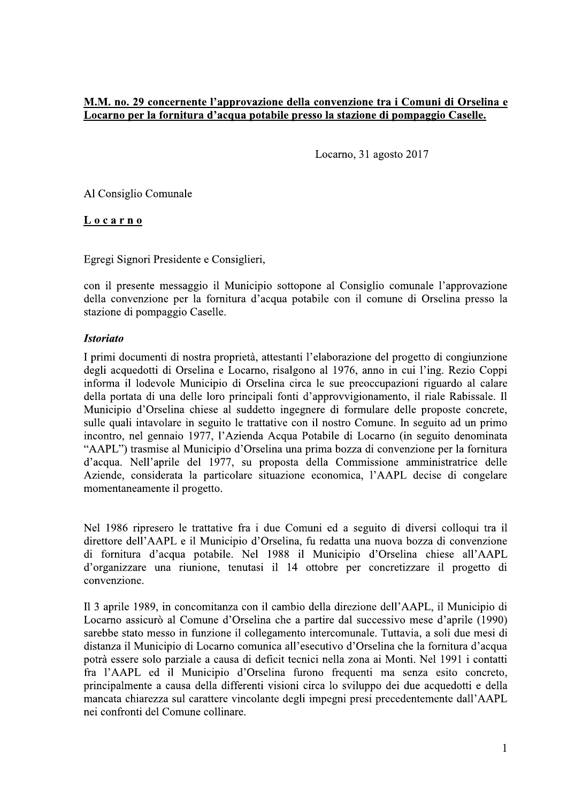## M.M. no. 29 concernente l'approvazione della convenzione tra i Comuni di Orselina e Locarno per la fornitura d'acqua potabile presso la stazione di pompaggio Caselle.

Locarno, 31 agosto 2017

Al Consiglio Comunale

Locarno

Egregi Signori Presidente e Consiglieri,

con il presente messaggio il Municipio sottopone al Consiglio comunale l'approvazione della convenzione per la fornitura d'acqua potabile con il comune di Orselina presso la stazione di pompaggio Caselle.

## **Istoriato**

I primi documenti di nostra proprietà, attestanti l'elaborazione del progetto di congiunzione degli acquedotti di Orselina e Locarno, risalgono al 1976, anno in cui l'ing. Rezio Coppi informa il lodevole Municipio di Orselina circa le sue preoccupazioni riguardo al calare della portata di una delle loro principali fonti d'approvvigionamento, il riale Rabissale. Il Municipio d'Orselina chiese al suddetto ingegnere di formulare delle proposte concrete, sulle quali intavolare in seguito le trattative con il nostro Comune. In seguito ad un primo incontro, nel gennaio 1977, l'Azienda Acqua Potabile di Locarno (in seguito denominata "AAPL") trasmise al Municipio d'Orselina una prima bozza di convenzione per la fornitura d'acqua. Nell'aprile del 1977, su proposta della Commissione amministratrice delle Aziende, considerata la particolare situazione economica, l'AAPL decise di congelare momentaneamente il progetto.

Nel 1986 ripresero le trattative fra i due Comuni ed a seguito di diversi colloqui tra il direttore dell'AAPL e il Municipio d'Orselina, fu redatta una nuova bozza di convenzione di fornitura d'acqua potabile. Nel 1988 il Municipio d'Orselina chiese all'AAPL d'organizzare una riunione, tenutasi il 14 ottobre per concretizzare il progetto di convenzione.

Il 3 aprile 1989, in concomitanza con il cambio della direzione dell'AAPL, il Municipio di Locarno assicurò al Comune d'Orselina che a partire dal successivo mese d'aprile (1990) sarebbe stato messo in funzione il collegamento intercomunale. Tuttavia, a soli due mesi di distanza il Municipio di Locarno comunica all'esecutivo d'Orselina che la fornitura d'acqua potrà essere solo parziale a causa di deficit tecnici nella zona ai Monti. Nel 1991 i contatti fra l'AAPL ed il Municipio d'Orselina furono frequenti ma senza esito concreto, principalmente a causa della differenti visioni circa lo sviluppo dei due acquedotti e della mancata chiarezza sul carattere vincolante degli impegni presi precedentemente dall'AAPL nei confronti del Comune collinare.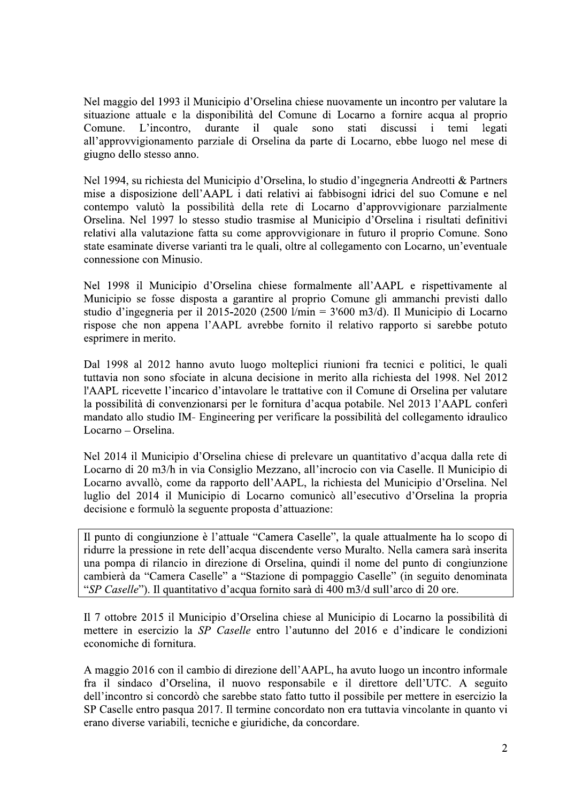Nel maggio del 1993 il Municipio d'Orselina chiese nuovamente un incontro per valutare la situazione attuale e la disponibilità del Comune di Locarno a fornire acqua al proprio quale L'incontro. durante  $i\mathbf{l}$ sono stati discussi temi legati Comune.  $\mathbf{i}$ all'approvvigionamento parziale di Orselina da parte di Locarno, ebbe luogo nel mese di giugno dello stesso anno.

Nel 1994, su richiesta del Municipio d'Orselina, lo studio d'ingegneria Andreotti & Partners mise a disposizione dell'AAPL i dati relativi ai fabbisogni idrici del suo Comune e nel contempo valutò la possibilità della rete di Locarno d'approvvigionare parzialmente Orselina. Nel 1997 lo stesso studio trasmise al Municipio d'Orselina i risultati definitivi relativi alla valutazione fatta su come approvvigionare in futuro il proprio Comune. Sono state esaminate diverse varianti tra le quali, oltre al collegamento con Locarno, un'eventuale connessione con Minusio.

Nel 1998 il Municipio d'Orselina chiese formalmente all'AAPL e rispettivamente al Municipio se fosse disposta a garantire al proprio Comune gli ammanchi previsti dallo studio d'ingegneria per il 2015-2020 (2500 l/min = 3'600 m3/d). Il Municipio di Locarno rispose che non appena l'AAPL avrebbe fornito il relativo rapporto si sarebbe potuto esprimere in merito.

Dal 1998 al 2012 hanno avuto luogo molteplici riunioni fra tecnici e politici, le quali tuttavia non sono sfociate in alcuna decisione in merito alla richiesta del 1998. Nel 2012 l'AAPL ricevette l'incarico d'intavolare le trattative con il Comune di Orselina per valutare la possibilità di convenzionarsi per le fornitura d'acqua potabile. Nel 2013 l'AAPL conferì mandato allo studio IM- Engineering per verificare la possibilità del collegamento idraulico Locarno - Orselina.

Nel 2014 il Municipio d'Orselina chiese di prelevare un quantitativo d'acqua dalla rete di Locarno di 20 m3/h in via Consiglio Mezzano, all'incrocio con via Caselle. Il Municipio di Locarno avvallò, come da rapporto dell'AAPL, la richiesta del Municipio d'Orselina. Nel luglio del 2014 il Municipio di Locarno comunicò all'esecutivo d'Orselina la propria decisione e formulò la seguente proposta d'attuazione:

Il punto di congiunzione è l'attuale "Camera Caselle", la quale attualmente ha lo scopo di ridurre la pressione in rete dell'acqua discendente verso Muralto. Nella camera sarà inserita una pompa di rilancio in direzione di Orselina, quindi il nome del punto di congiunzione cambierà da "Camera Caselle" a "Stazione di pompaggio Caselle" (in seguito denominata "SP Caselle"). Il quantitativo d'acqua fornito sarà di 400 m3/d sull'arco di 20 ore.

Il 7 ottobre 2015 il Municipio d'Orselina chiese al Municipio di Locarno la possibilità di mettere in esercizio la SP Caselle entro l'autunno del 2016 e d'indicare le condizioni economiche di fornitura.

A maggio 2016 con il cambio di direzione dell'AAPL, ha avuto luogo un incontro informale fra il sindaco d'Orselina, il nuovo responsabile e il direttore dell'UTC. A seguito dell'incontro si concordò che sarebbe stato fatto tutto il possibile per mettere in esercizio la SP Caselle entro pasqua 2017. Il termine concordato non era tuttavia vincolante in quanto vi erano diverse variabili, tecniche e giuridiche, da concordare.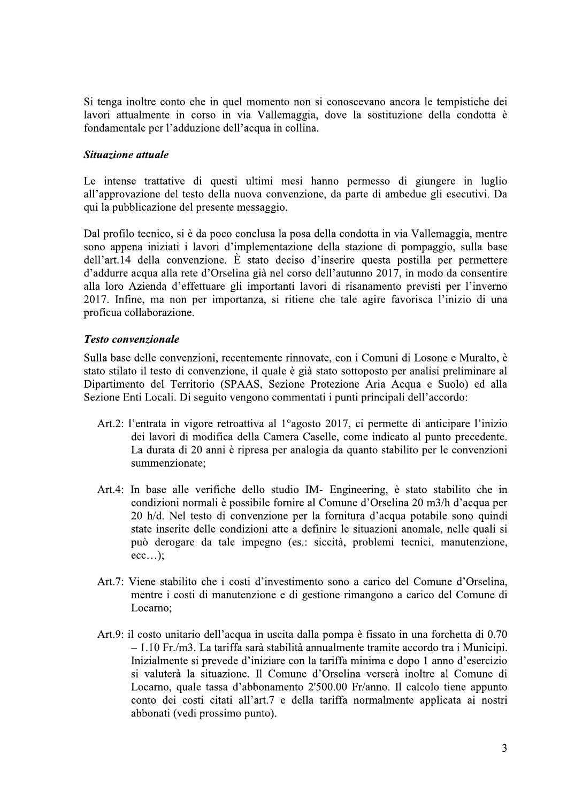Si tenga inoltre conto che in quel momento non si conoscevano ancora le tempistiche dei lavori attualmente in corso in via Vallemaggia, dove la sostituzione della condotta è fondamentale per l'adduzione dell'acqua in collina.

## Situazione attuale

Le intense trattative di questi ultimi mesi hanno permesso di giungere in luglio all'approvazione del testo della nuova convenzione, da parte di ambedue gli esecutivi. Da qui la pubblicazione del presente messaggio.

Dal profilo tecnico, si è da poco conclusa la posa della condotta in via Vallemaggia, mentre sono appena iniziati i lavori d'implementazione della stazione di pompaggio, sulla base dell'art.14 della convenzione. È stato deciso d'inserire questa postilla per permettere d'addurre acqua alla rete d'Orselina già nel corso dell'autunno 2017, in modo da consentire alla loro Azienda d'effettuare gli importanti lavori di risanamento previsti per l'inverno 2017. Infine, ma non per importanza, si ritiene che tale agire favorisca l'inizio di una proficua collaborazione.

## **Testo convenzionale**

Sulla base delle convenzioni, recentemente rinnovate, con i Comuni di Losone e Muralto, è stato stilato il testo di convenzione, il quale è già stato sottoposto per analisi preliminare al Dipartimento del Territorio (SPAAS, Sezione Protezione Aria Acqua e Suolo) ed alla Sezione Enti Locali. Di seguito vengono commentati i punti principali dell'accordo:

- Art.2: l'entrata in vigore retroattiva al 1<sup>°</sup>agosto 2017, ci permette di anticipare l'inizio dei lavori di modifica della Camera Caselle, come indicato al punto precedente. La durata di 20 anni è ripresa per analogia da quanto stabilito per le convenzioni summenzionate:
- Art.4: In base alle verifiche dello studio IM- Engineering, è stato stabilito che in condizioni normali è possibile fornire al Comune d'Orselina 20 m3/h d'acqua per 20 h/d. Nel testo di convenzione per la fornitura d'acqua potabile sono quindi state inserite delle condizioni atte a definire le situazioni anomale, nelle quali si può derogare da tale impegno (es.: siccità, problemi tecnici, manutenzione,  $ecc...);$
- Art.7: Viene stabilito che i costi d'investimento sono a carico del Comune d'Orselina. mentre i costi di manutenzione e di gestione rimangono a carico del Comune di Locarno:
- Art.9: il costo unitario dell'acqua in uscita dalla pompa è fissato in una forchetta di 0.70 - 1.10 Fr./m3. La tariffa sarà stabilità annualmente tramite accordo tra i Municipi. Inizialmente si prevede d'iniziare con la tariffa minima e dopo 1 anno d'esercizio si valuterà la situazione. Il Comune d'Orselina verserà inoltre al Comune di Locarno, quale tassa d'abbonamento 2'500.00 Fr/anno. Il calcolo tiene appunto conto dei costi citati all'art.7 e della tariffa normalmente applicata ai nostri abbonati (vedi prossimo punto).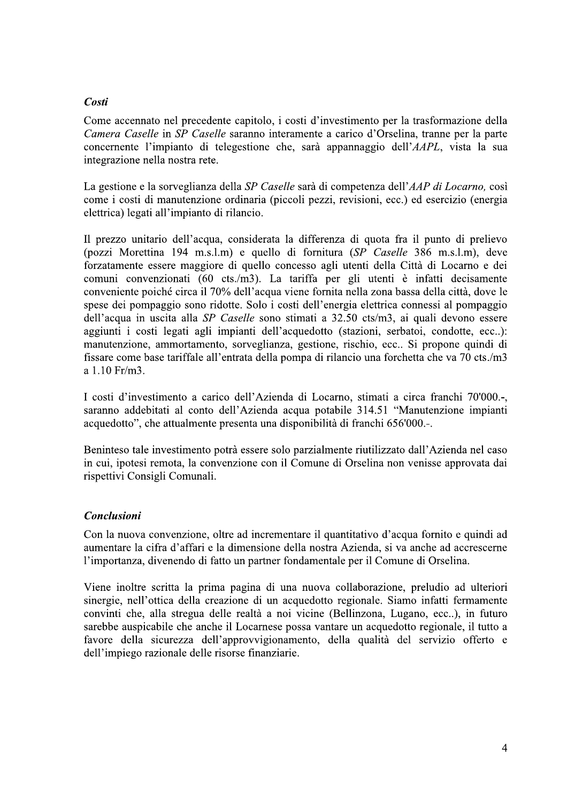## Costi

Come accennato nel precedente capitolo, i costi d'investimento per la trasformazione della Camera Caselle in SP Caselle saranno interamente a carico d'Orselina, tranne per la parte concernente l'impianto di telegestione che, sarà appannaggio dell'AAPL, vista la sua integrazione nella nostra rete.

La gestione e la sorveglianza della SP Caselle sarà di competenza dell'AAP di Locarno, così come i costi di manutenzione ordinaria (piccoli pezzi, revisioni, ecc.) ed esercizio (energia elettrica) legati all'impianto di rilancio.

Il prezzo unitario dell'acqua, considerata la differenza di quota fra il punto di prelievo (pozzi Morettina 194 m.s.l.m) e quello di fornitura (SP Caselle 386 m.s.l.m), deve forzatamente essere maggiore di quello concesso agli utenti della Città di Locarno e dei comuni convenzionati (60 cts./m3). La tariffa per gli utenti è infatti decisamente conveniente poiché circa il 70% dell'acqua viene fornita nella zona bassa della città, dove le spese dei pompaggio sono ridotte. Solo i costi dell'energia elettrica connessi al pompaggio dell'acqua in uscita alla SP Caselle sono stimati a 32.50 cts/m3, ai quali devono essere aggiunti i costi legati agli impianti dell'acquedotto (stazioni, serbatoi, condotte, ecc..): manutenzione, ammortamento, sorveglianza, gestione, rischio, ecc.. Si propone quindi di fissare come base tariffale all'entrata della pompa di rilancio una forchetta che va 70 cts./m3 a 1.10 Fr/m3.

I costi d'investimento a carico dell'Azienda di Locarno, stimati a circa franchi 70'000.-, saranno addebitati al conto dell'Azienda acqua potabile 314.51 "Manutenzione impianti acquedotto", che attualmente presenta una disponibilità di franchi 656'000.-.

Beninteso tale investimento potrà essere solo parzialmente riutilizzato dall'Azienda nel caso in cui, ipotesi remota, la convenzione con il Comune di Orselina non venisse approvata dai rispettivi Consigli Comunali.

## Conclusioni

Con la nuova convenzione, oltre ad incrementare il quantitativo d'acqua fornito e quindi ad aumentare la cifra d'affari e la dimensione della nostra Azienda, si va anche ad accrescerne l'importanza, divenendo di fatto un partner fondamentale per il Comune di Orselina.

Viene inoltre scritta la prima pagina di una nuova collaborazione, preludio ad ulteriori sinergie, nell'ottica della creazione di un acquedotto regionale. Siamo infatti fermamente convinti che, alla stregua delle realtà a noi vicine (Bellinzona, Lugano, ecc..), in futuro sarebbe auspicabile che anche il Locarnese possa vantare un acquedotto regionale, il tutto a favore della sicurezza dell'approvvigionamento, della qualità del servizio offerto e dell'impiego razionale delle risorse finanziarie.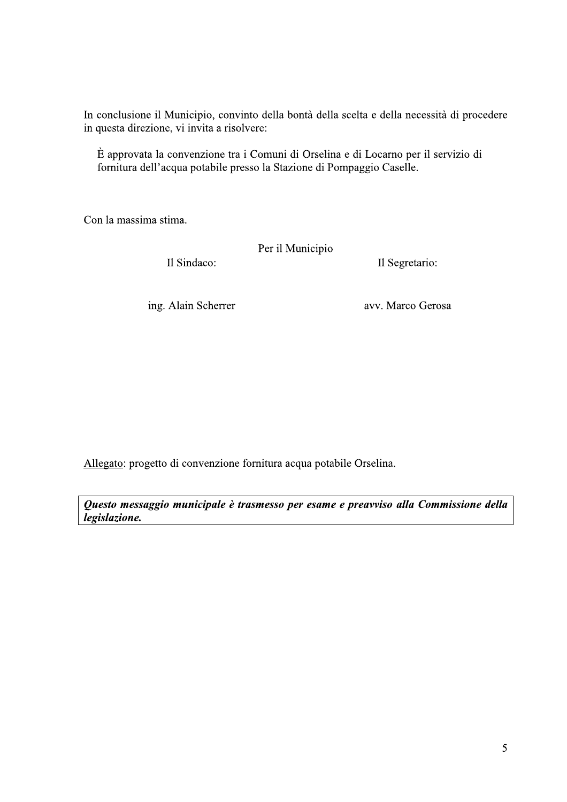In conclusione il Municipio, convinto della bontà della scelta e della necessità di procedere in questa direzione, vi invita a risolvere:

È approvata la convenzione tra i Comuni di Orselina e di Locarno per il servizio di fornitura dell'acqua potabile presso la Stazione di Pompaggio Caselle.

Con la massima stima.

Il Sindaco:

Per il Municipio Il Segretario:

ing. Alain Scherrer

avv. Marco Gerosa

Allegato: progetto di convenzione fornitura acqua potabile Orselina.

Questo messaggio municipale è trasmesso per esame e preavviso alla Commissione della legislazione.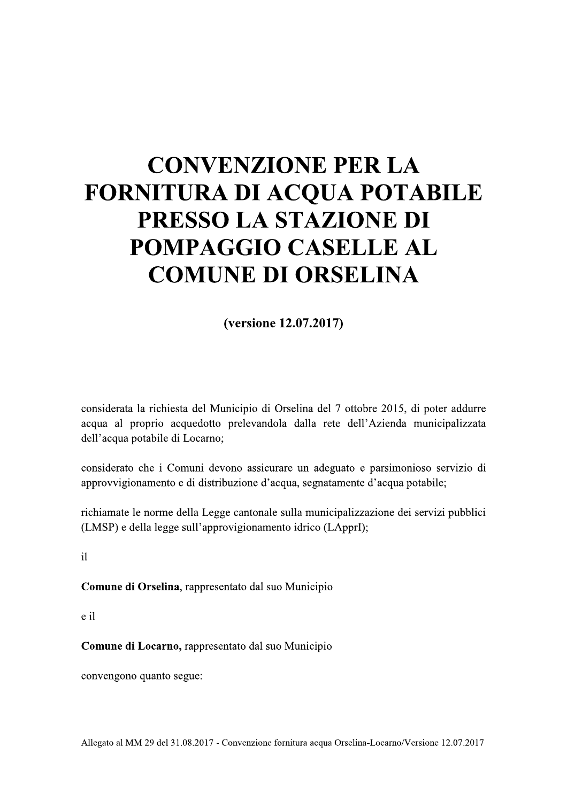# **CONVENZIONE PER LA FORNITURA DI ACQUA POTABILE** PRESSO LA STAZIONE DI POMPAGGIO CASELLE AL **COMUNE DI ORSELINA**

(versione 12.07.2017)

considerata la richiesta del Municipio di Orselina del 7 ottobre 2015, di poter addurre acqua al proprio acquedotto prelevandola dalla rete dell'Azienda municipalizzata dell'acqua potabile di Locarno;

considerato che i Comuni devono assicurare un adeguato e parsimonioso servizio di approvvigionamento e di distribuzione d'acqua, segnatamente d'acqua potabile;

richiamate le norme della Legge cantonale sulla municipalizzazione dei servizi pubblici (LMSP) e della legge sull'approvigionamento idrico (LApprI);

 $i1$ 

Comune di Orselina, rappresentato dal suo Municipio

e il

Comune di Locarno, rappresentato dal suo Municipio

convengono quanto segue: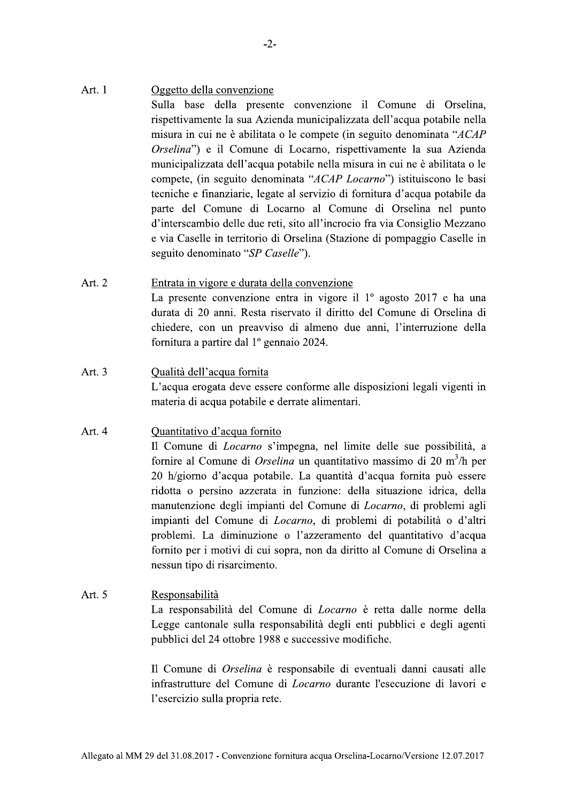#### Art. 1 Oggetto della convenzione

Sulla base della presente convenzione il Comune di Orselina, rispettivamente la sua Azienda municipalizzata dell'acqua potabile nella misura in cui ne è abilitata o le compete (in seguito denominata "ACAP Orselina") e il Comune di Locarno, rispettivamente la sua Azienda municipalizzata dell'acqua potabile nella misura in cui ne è abilitata o le compete, (in seguito denominata "ACAP Locarno") istituiscono le basi tecniche e finanziarie, legate al servizio di fornitura d'acqua potabile da parte del Comune di Locarno al Comune di Orselina nel punto d'interscambio delle due reti, sito all'incrocio fra via Consiglio Mezzano e via Caselle in territorio di Orselina (Stazione di pompaggio Caselle in seguito denominato "SP Caselle").

- Art. 2 Entrata in vigore e durata della convenzione La presente convenzione entra in vigore il  $1^{\circ}$  agosto 2017 e ha una durata di 20 anni. Resta riservato il diritto del Comune di Orselina di chiedere, con un preavviso di almeno due anni, l'interruzione della fornitura a partire dal 1º gennaio 2024.
- Art.  $3$ Qualità dell'acqua fornita L'acqua erogata deve essere conforme alle disposizioni legali vigenti in materia di acqua potabile e derrate alimentari.

#### Art. 4 Quantitativo d'acqua fornito

Il Comune di *Locarno* s'impegna, nel limite delle sue possibilità, a fornire al Comune di *Orselina* un quantitativo massimo di 20 m<sup>3</sup>/h per 20 h/giorno d'acqua potabile. La quantità d'acqua fornita può essere ridotta o persino azzerata in funzione: della situazione idrica, della manutenzione degli impianti del Comune di *Locarno*, di problemi agli impianti del Comune di *Locarno*, di problemi di potabilità o d'altri problemi. La diminuzione o l'azzeramento del quantitativo d'acqua fornito per i motivi di cui sopra, non da diritto al Comune di Orselina a nessun tipo di risarcimento.

#### Art. 5 Responsabilità

La responsabilità del Comune di *Locarno* è retta dalle norme della Legge cantonale sulla responsabilità degli enti pubblici e degli agenti pubblici del 24 ottobre 1988 e successive modifiche.

Il Comune di Orselina è responsabile di eventuali danni causati alle infrastrutture del Comune di *Locarno* durante l'esecuzione di lavori e l'esercizio sulla propria rete.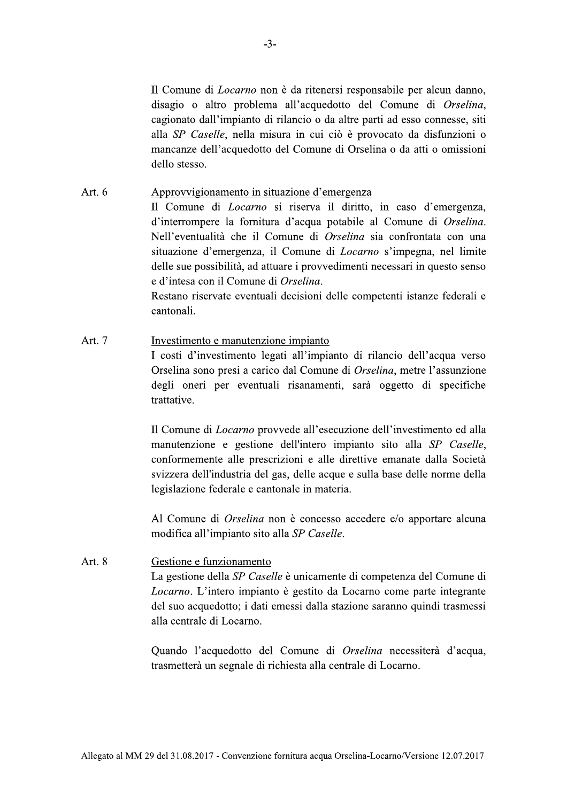Il Comune di *Locarno* non è da ritenersi responsabile per alcun danno. <sup>-3-</sup><br><sup>-3-</sup><br>Il Comune di *Locarno* non è da ritenersi<br>disagio o altro problema all'acquedott<br>cagionato dall'impianto di rilancio o da a<br>alla *SP Caselle*, nella misura in cui ciò<br>mancanze dell'acquedotto del Comune di<br>dell disagio o altro problema all'acquedotto del Comune di *Orselina*. cagionato dall'impianto di rilancio o da altre parti ad esso connesse, siti alla *SP Caselle*, nella misura in cui ciò è provocato da disfunzioni o mancanze dell'acquedotto del Comune di Orselina o da atti o omissioni dello stesso.

#### Art. 6 Approvvigionamento in situazione d'emergenza

Il Comune di *Locarno* si riserva il diritto, in caso d'emergenza, disagio o altro problema all'acquedotto<br>cagionato dall'impianto di rilancio o da altr<br>alla *SP Caselle*, nella misura in cui ciò è<br>mancanze dell'acquedotto del Comune di C<br>dello stesso.<br>Approvvigionamento in situazione d'e d'interrompere la fornitura d'acqua potabile al Comune di *Orselina*. Nell'eventualità che il Comune di *Orselina* sia confrontata con una situazione d'emergenza, il Comune d mancanze dell'acquedotto del Comune di Orselina o da atti o omissioni dello stesso.<br>
Approvvigionamento in situazione d'emergenza<br>
Il Comune di *Locarno* si riserva il diritto, in caso d'emergenza,<br>
d'interrompere la forni sue possibilità, ad attuare i provvedimenti necessari in questo senso e d'intesa con il Comune di Orselina.

Restano riservate eventuali decisioni delle competenti istanze federali e cantonali.

#### Art. 7 Investimento e manutenzione impianto

I costi d'investimento legati all'impianto di rilancio dell'acqua verso Orselina sono presi a carico dal Comune di *Orselina*, metre l'assunzione degli oneri per eventuali risanamenti, sarà oggetto di specifiche trattative.

Il Comune di *Locarno* provvede all'esecuzione dell'investimento ed alla Investimento e manutenzione impianto<br>
I costi d'investimento legati all'impiant<br>
Orselina sono presi a carico dal Comune<br>
degli oneri per eventuali risanamenti<br>
trattative.<br>
Il Comune di *Locarno* provvede all'esecu<br>
manut manutenzione e gestione dell'intero impianto sito alla SP Caselle. conformemente alle prescrizioni e alle direttive emanate dalla Società svizzera dell'industria del gas, delle acque e sulla base delle norme della legislazione federale e cantonale in materia.

Al Comune di *Orselina* non è concesso accedere e/o apportare alcuna modifica all'impianto sito alla SP Caselle.

Art. 8 Gestione e funzionamento La gestione della SP Caselle è unicamente di competenza del Comune di legislazione federale e cantonale in materia.<br>
Al Comune di *Orselina* non è concesso accedere e/o apportare alcuna<br>
modifica all'impianto sito alla *SP Caselle*.<br>
Art. 8 Gestione e funzionamento<br>
La gestione della *SP Ca* gestito da Locarno come parte integrante del suo acquedotto: i dati emessi dalla stazione saranno quindi trasmessi alla centrale di Locarno.

Ouando l'acquedotto del Comune di *Orselina* necessiterà d'acqua. trasmetterà un segnale di richiesta alla centrale di Locarno. -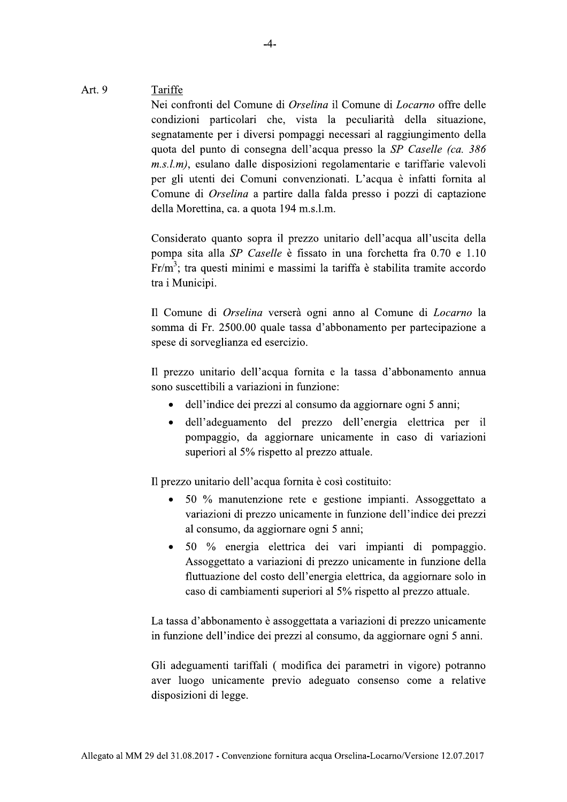#### Art. 9 Tariffe

Nei contronti del Comune di *Orselina* il Comune di *Locarno* offre delle <sup>-4</sup>-<br>
<u>Fe</u><br>
confronti del Comune di *Orselina* il Comune di *L*<br>
izioni particolari che, vista la peculiarità<br>
atamente per i diversi pompaggi necessari al rag<br>
a del punto di consegna dell'acqua presso la *SP*<br> *m*), es condizioni particolari che, vista la peculiarita della situazione, segnatamente per i diversi pompaggi necessari al raggiungimento della quota del punto di consegna dell'acqua presso la SP Caselle (ca. 386) *m.s.l.m)*, esulano dalle disposizioni regolamentarie e tariffarie valevoli per gli utenti dei Comuni convenzionati. L'acqua è infatti fornita al Comune di *Orselina* a partire dalla falda presso i pozzi di captazione t. 9<br>
Tariffe<br>
Nei confronti del Comune di *Orselin*<br>
condizioni particolari che, vista<br>
segnatamente per i diversi pompaggi<br>
quota del punto di consegna dell'ac<br> *m.s.l.m*), esulano dalle disposizioni<br>
per gli utenti dei della Morettina, ca. a quota 194 m.s.l.m.

Considerato quanto sopra il prezzo unitario dell'acqua all'uscita della pompa sita alla *SP Caselle* e fissato in una forchetta fra  $0.70$  e  $1.10$  $Fr/m<sup>3</sup>$ ; tra questi minimi e massimi la tariffa è stabilita tramite accordo tra 1 Municipi. della Morettina, ca. a quota 194 m.s.l.m.<br>
Considerato quanto sopra il prezzo uni<br>
pompa sita alla *SP Caselle* è fissato in<br>
Fr/m<sup>3</sup>; tra questi minimi e massimi la ta<br>
tra i Municipi.<br>
Il Comune di *Orselina* verserà og

Il Comune di *Orselina* versera ogni anno al Comune di *Locarno* la somma di Fr. 2500.00 quale tassa d'abbonamento per partecipazione a spese di sorveglianza ed esercizio.

Il prezzo unitario dell'acqua fornita e la tassa d'abbonamento annua sono suscettibili a variazioni in funzione:

- $\bullet$  dell'indice dei prezzi al consumo da aggiornare ogni 5 anni;
- dell'adeguamento del prezzo dell'energia elettrica per il pompaggio, da aggiornare unicamente in caso di variazioni superiori al 5% rispetto al prezzo attuale.

Il prezzo unitario dell'acqua fornita è così costituito:

- $\bullet$  50 % manutenzione rete e gestione impianti. Assoggettato a variazioni di prezzo unicamente in funzione dell'indice dei prezzi al consumo, da aggiornare ogni 5 anni;
- 50 % energia elettrica dei vari impianti di pompaggio. Assoggettato a variazioni di prezzo unicamente in funzione della fluttuazione del costo dell'energia elettrica, da aggiornare solo in caso di cambiamenti superiori al 5% rispetto al prezzo attuale.

La tassa d'abbonamento è assoggettata a variazioni di prezzo unicamente in funzione dell'indice dei prezzi al consumo, da aggiornare ogni 5 anni.

Gli adeguamenti tariffali ( modifica dei parametri in vigore) potranno aver luogo unicamente previo adeguato consenso come a relative disposizioni di legge.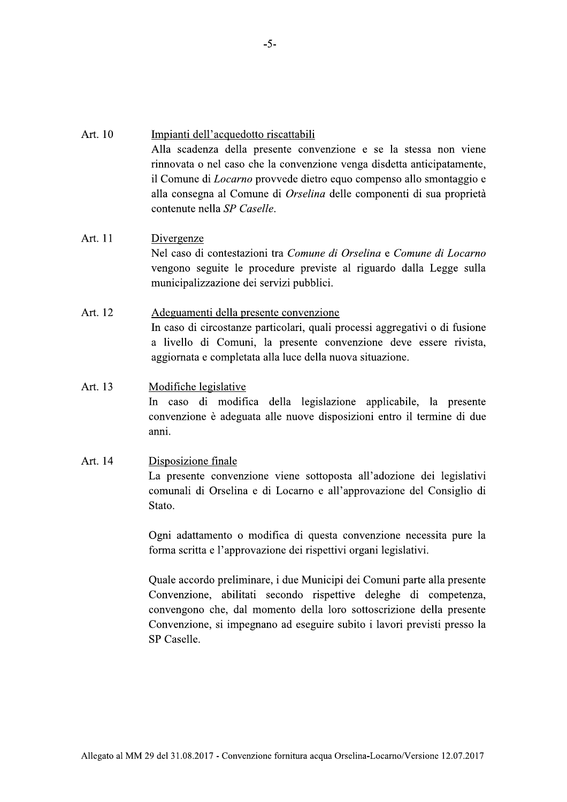## Art  $10$ Impianti dell'acquedotto riscattabili Alla scadenza della presente convenzione e se la stessa non viene rinnovata o nel caso che la convenzione venga disdetta anticipatamente, il Comune di *Locarno* provvede dietro equo compenso allo smontaggio e alla consegna al Comune di Orselina delle componenti di sua proprietà contenute nella SP Caselle.

### Art. 11 Divergenze Nel caso di contestazioni tra Comune di Orselina e Comune di Locarno vengono seguite le procedure previste al riguardo dalla Legge sulla municipalizzazione dei servizi pubblici.

Art. 12 Adeguamenti della presente convenzione In caso di circostanze particolari, quali processi aggregativi o di fusione a livello di Comuni, la presente convenzione deve essere rivista, aggiornata e completata alla luce della nuova situazione.

## Art. 13 Modifiche legislative In caso di modifica della legislazione applicabile, la presente convenzione è adeguata alle nuove disposizioni entro il termine di due anni.

#### Art. 14 Disposizione finale

La presente convenzione viene sottoposta all'adozione dei legislativi comunali di Orselina e di Locarno e all'approvazione del Consiglio di Stato.

Ogni adattamento o modifica di questa convenzione necessita pure la forma scritta e l'approvazione dei rispettivi organi legislativi.

Quale accordo preliminare, i due Municipi dei Comuni parte alla presente Convenzione, abilitati secondo rispettive deleghe di competenza, convengono che, dal momento della loro sottoscrizione della presente Convenzione, si impegnano ad eseguire subito i lavori previsti presso la SP Caselle.